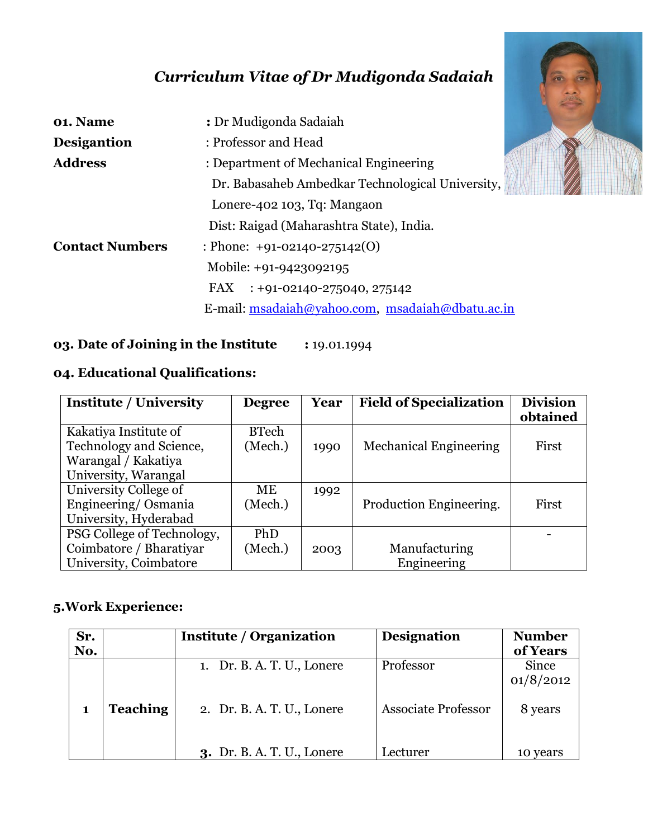# *Curriculum Vitae of Dr Mudigonda Sadaiah*

| 01. Name               | : Dr Mudigonda Sadaiah                           |  |  |  |
|------------------------|--------------------------------------------------|--|--|--|
| <b>Desigantion</b>     | : Professor and Head                             |  |  |  |
| <b>Address</b>         | : Department of Mechanical Engineering           |  |  |  |
|                        | Dr. Babasaheb Ambedkar Technological University, |  |  |  |
|                        | Lonere-402 103, Tq: Mangaon                      |  |  |  |
|                        | Dist: Raigad (Maharashtra State), India.         |  |  |  |
| <b>Contact Numbers</b> | : Phone: $+91-02140-275142(0)$                   |  |  |  |
|                        | Mobile: +91-9423092195                           |  |  |  |
|                        | FAX : +91-02140-275040, 275142                   |  |  |  |
|                        | E-mail: msadaiah@yahoo.com, msadaiah@dbatu.ac.in |  |  |  |



# **04. Educational Qualifications:**

| <b>Institute / University</b> | <b>Degree</b> | Year | <b>Field of Specialization</b> | <b>Division</b> |
|-------------------------------|---------------|------|--------------------------------|-----------------|
|                               |               |      |                                | obtained        |
| Kakatiya Institute of         | <b>BTech</b>  |      |                                |                 |
| Technology and Science,       | (Mech.)       | 1990 | <b>Mechanical Engineering</b>  | First           |
| Warangal / Kakatiya           |               |      |                                |                 |
| University, Warangal          |               |      |                                |                 |
| University College of         | ME            | 1992 |                                |                 |
| Engineering/Osmania           | (Mech.)       |      | Production Engineering.        | First           |
| University, Hyderabad         |               |      |                                |                 |
| PSG College of Technology,    | <b>PhD</b>    |      |                                |                 |
| Coimbatore / Bharatiyar       | (Mech.)       | 2003 | Manufacturing                  |                 |
| University, Coimbatore        |               |      | Engineering                    |                 |

## **5.Work Experience:**

| Sr.<br>No. |                 | <b>Institute / Organization</b>   | <b>Designation</b>         | <b>Number</b><br>of Years |
|------------|-----------------|-----------------------------------|----------------------------|---------------------------|
|            |                 | 1. Dr. B. A. T. U., Lonere        | Professor                  | Since<br>01/8/2012        |
|            | <b>Teaching</b> | 2. Dr. B. A. T. U., Lonere        | <b>Associate Professor</b> | 8 years                   |
|            |                 | <b>3.</b> Dr. B. A. T. U., Lonere | Lecturer                   | 10 years                  |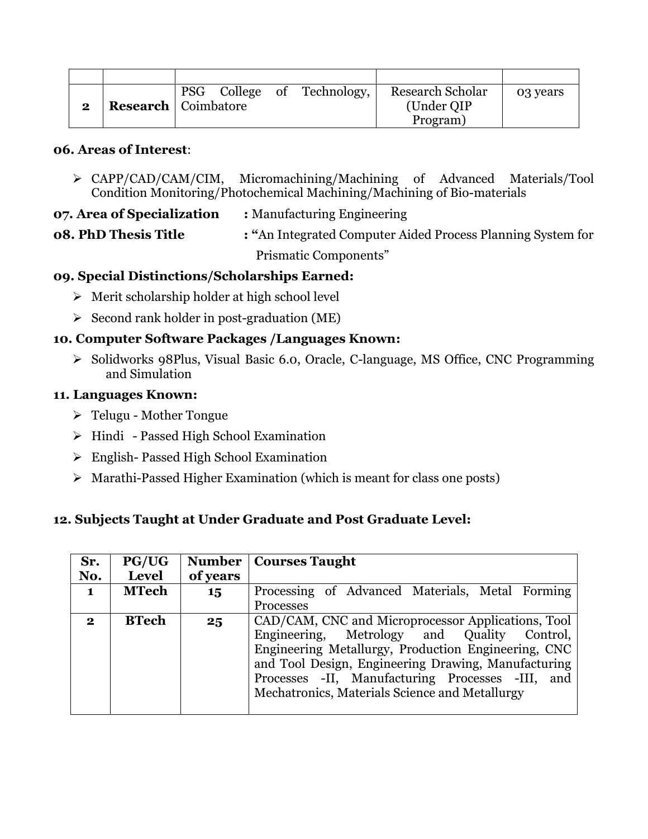|          |                              |  | PSG College of Technology, | <b>Research Scholar</b> | 03 years |
|----------|------------------------------|--|----------------------------|-------------------------|----------|
| $\bf{2}$ | <b>Research</b>   Coimbatore |  |                            | (Under QIP              |          |
|          |                              |  |                            | Program)                |          |

### **06. Areas of Interest**:

- CAPP/CAD/CAM/CIM, Micromachining/Machining of Advanced Materials/Tool Condition Monitoring/Photochemical Machining/Machining of Bio-materials
- **07. Area of Specialization :** Manufacturing Engineering
- **08. PhD Thesis Title : "**An Integrated Computer Aided Process Planning System for Prismatic Components"

### **09. Special Distinctions/Scholarships Earned:**

- $\triangleright$  Merit scholarship holder at high school level
- $\triangleright$  Second rank holder in post-graduation (ME)

## **10. Computer Software Packages /Languages Known:**

Solidworks 98Plus, Visual Basic 6.0, Oracle, C-language, MS Office, CNC Programming and Simulation

### **11. Languages Known:**

- $\triangleright$  Telugu Mother Tongue
- $\triangleright$  Hindi Passed High School Examination
- English- Passed High School Examination
- $\triangleright$  Marathi-Passed Higher Examination (which is meant for class one posts)

### **12. Subjects Taught at Under Graduate and Post Graduate Level:**

| Sr.          | <b>PG/UG</b> |          | <b>Number   Courses Taught</b>                      |  |  |
|--------------|--------------|----------|-----------------------------------------------------|--|--|
| No.          | Level        | of years |                                                     |  |  |
| $\mathbf{1}$ | <b>MTech</b> | 15       | Processing of Advanced Materials, Metal Forming     |  |  |
|              |              |          | Processes                                           |  |  |
| $\mathbf{2}$ | <b>BTech</b> | 25       | CAD/CAM, CNC and Microprocessor Applications, Tool  |  |  |
|              |              |          | Engineering, Metrology and Quality Control,         |  |  |
|              |              |          | Engineering Metallurgy, Production Engineering, CNC |  |  |
|              |              |          | and Tool Design, Engineering Drawing, Manufacturing |  |  |
|              |              |          | Processes -II, Manufacturing Processes -III,<br>and |  |  |
|              |              |          | Mechatronics, Materials Science and Metallurgy      |  |  |
|              |              |          |                                                     |  |  |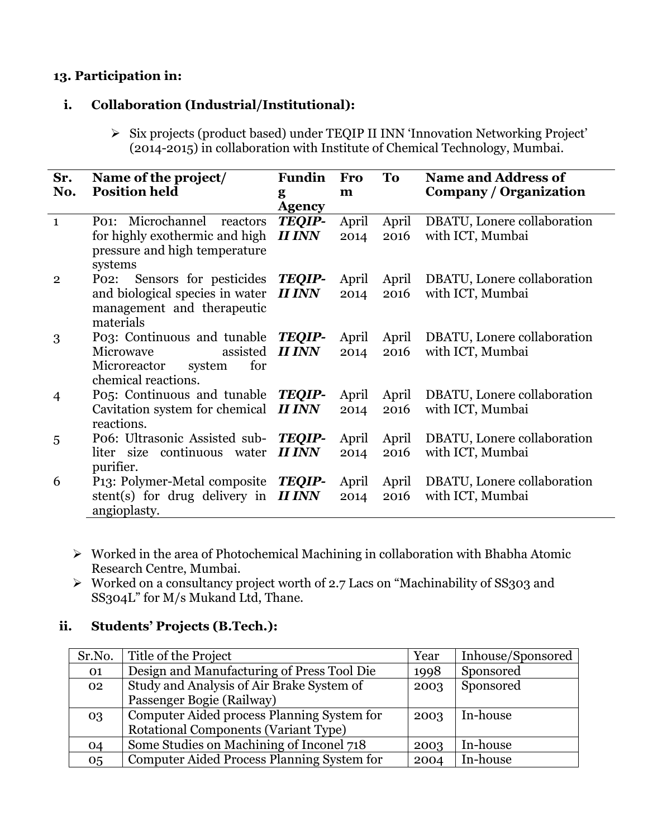## **13. Participation in:**

### **i. Collaboration (Industrial/Institutional):**

Six projects (product based) under TEQIP II INN 'Innovation Networking Project' (2014-2015) in collaboration with Institute of Chemical Technology, Mumbai.

| Sr.<br>No.     | Name of the project/<br><b>Position held</b>           | <b>Fundin</b><br>g | <b>Fro</b><br>m | To    | <b>Name and Address of</b><br>Company / Organization |
|----------------|--------------------------------------------------------|--------------------|-----------------|-------|------------------------------------------------------|
|                |                                                        | <b>Agency</b>      |                 |       |                                                      |
| $\mathbf{1}$   | Po <sub>1</sub> : Microchannel<br>reactors             | <b>TEQIP-</b>      | April           | April | DBATU, Lonere collaboration                          |
|                | for highly exothermic and high                         | <b>II INN</b>      | 2014            | 2016  | with ICT, Mumbai                                     |
|                | pressure and high temperature                          |                    |                 |       |                                                      |
|                | systems                                                |                    |                 |       |                                                      |
| $\mathbf{2}$   | Sensors for pesticides<br>P <sub>02</sub>              | <b>TEQIP-</b>      | April           | April | DBATU, Lonere collaboration                          |
|                | and biological species in water                        | <b>II INN</b>      | 2014            | 2016  | with ICT, Mumbai                                     |
|                | management and therapeutic                             |                    |                 |       |                                                      |
|                | materials                                              |                    |                 |       |                                                      |
| 3              | Po <sub>3</sub> : Continuous and tunable               | <b>TEQIP-</b>      | April           | April | DBATU, Lonere collaboration                          |
|                | assisted<br>Microwave                                  | <b>II INN</b>      | 2014            | 2016  | with ICT, Mumbai                                     |
|                | for<br>Microreactor<br>system                          |                    |                 |       |                                                      |
|                | chemical reactions.                                    |                    |                 |       |                                                      |
| $\overline{4}$ | Po <sub>5</sub> : Continuous and tunable <b>TEQIP-</b> |                    | April           | April | DBATU, Lonere collaboration                          |
|                | Cavitation system for chemical                         | <b>II INN</b>      | 2014            | 2016  | with ICT, Mumbai                                     |
|                | reactions.                                             |                    |                 |       |                                                      |
| 5              | Po6: Ultrasonic Assisted sub- TEQIP-                   |                    | April           | April | DBATU, Lonere collaboration                          |
|                | liter size continuous water                            | <b>II INN</b>      | 2014            | 2016  | with ICT, Mumbai                                     |
|                | purifier.                                              |                    |                 |       |                                                      |
| 6              | P13: Polymer-Metal composite                           | <b>TEOIP-</b>      | April           | April | DBATU, Lonere collaboration                          |
|                | stent(s) for drug delivery in                          | <b>II INN</b>      | 2014            | 2016  | with ICT, Mumbai                                     |
|                | angioplasty.                                           |                    |                 |       |                                                      |

- $\triangleright$  Worked in the area of Photochemical Machining in collaboration with Bhabha Atomic Research Centre, Mumbai.
- $\triangleright$  Worked on a consultancy project worth of 2.7 Lacs on "Machinability of SS303 and SS304L" for M/s Mukand Ltd, Thane.

## **ii. Students' Projects (B.Tech.):**

| Sr.No. | Title of the Project                        | Year | Inhouse/Sponsored |
|--------|---------------------------------------------|------|-------------------|
| 01     | Design and Manufacturing of Press Tool Die  | 1998 | Sponsored         |
| 02     | Study and Analysis of Air Brake System of   | 2003 | Sponsored         |
|        | Passenger Bogie (Railway)                   |      |                   |
| 03     | Computer Aided process Planning System for  | 2003 | In-house          |
|        | <b>Rotational Components (Variant Type)</b> |      |                   |
| 04     | Some Studies on Machining of Inconel 718    | 2003 | In-house          |
| 05     | Computer Aided Process Planning System for  | 2004 | In-house          |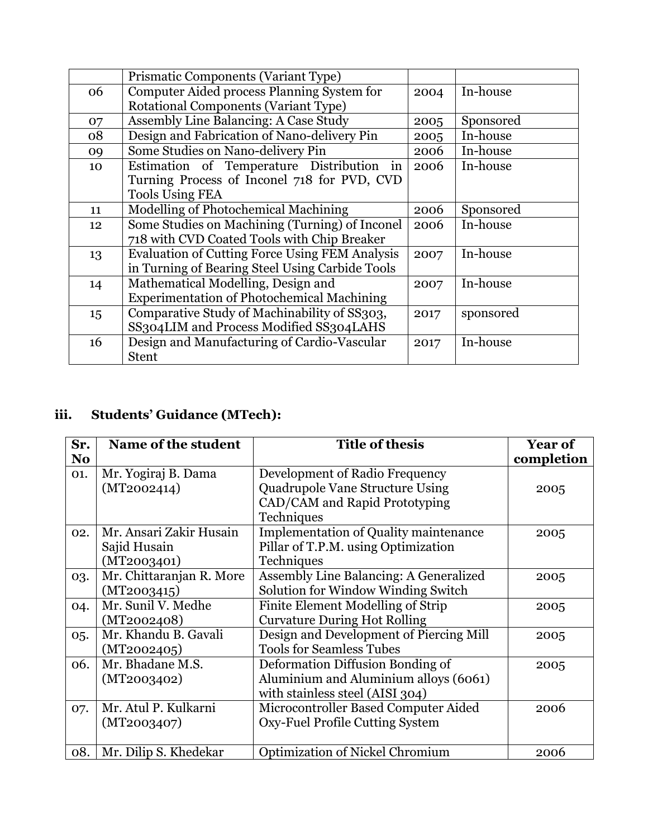|    | Prismatic Components (Variant Type)                   |      |           |
|----|-------------------------------------------------------|------|-----------|
| 06 | Computer Aided process Planning System for            | 2004 | In-house  |
|    | <b>Rotational Components (Variant Type)</b>           |      |           |
| 07 | Assembly Line Balancing: A Case Study                 | 2005 | Sponsored |
| 08 | Design and Fabrication of Nano-delivery Pin           | 2005 | In-house  |
| 09 | Some Studies on Nano-delivery Pin                     | 2006 | In-house  |
| 10 | Estimation of Temperature Distribution<br>$\ln$       | 2006 | In-house  |
|    | Turning Process of Inconel 718 for PVD, CVD           |      |           |
|    | <b>Tools Using FEA</b>                                |      |           |
| 11 | Modelling of Photochemical Machining                  | 2006 | Sponsored |
| 12 | Some Studies on Machining (Turning) of Inconel        | 2006 | In-house  |
|    | 718 with CVD Coated Tools with Chip Breaker           |      |           |
| 13 | <b>Evaluation of Cutting Force Using FEM Analysis</b> | 2007 | In-house  |
|    | in Turning of Bearing Steel Using Carbide Tools       |      |           |
| 14 | Mathematical Modelling, Design and                    | 2007 | In-house  |
|    | <b>Experimentation of Photochemical Machining</b>     |      |           |
| 15 | Comparative Study of Machinability of SS303,          | 2017 | sponsored |
|    | SS304LIM and Process Modified SS304LAHS               |      |           |
| 16 | Design and Manufacturing of Cardio-Vascular           | 2017 | In-house  |
|    | <b>Stent</b>                                          |      |           |

# **iii. Students' Guidance (MTech):**

| Sr.            | Name of the student                                    | <b>Title of thesis</b>                                                                                                  | <b>Year of</b> |
|----------------|--------------------------------------------------------|-------------------------------------------------------------------------------------------------------------------------|----------------|
| N <sub>o</sub> |                                                        |                                                                                                                         | completion     |
| 01.            | Mr. Yogiraj B. Dama<br>(MT2002414)                     | Development of Radio Frequency<br><b>Quadrupole Vane Structure Using</b><br>CAD/CAM and Rapid Prototyping<br>Techniques | 2005           |
| 02.            | Mr. Ansari Zakir Husain<br>Sajid Husain<br>(MT2003401) | <b>Implementation of Quality maintenance</b><br>Pillar of T.P.M. using Optimization<br>Techniques                       | 2005           |
| 03.            | Mr. Chittaranjan R. More<br>(MT2003415)                | Assembly Line Balancing: A Generalized<br>Solution for Window Winding Switch                                            | 2005           |
| 04.            | Mr. Sunil V. Medhe<br>(MT2002408)                      | Finite Element Modelling of Strip<br><b>Curvature During Hot Rolling</b>                                                | 2005           |
| 05.            | Mr. Khandu B. Gavali<br>(MT2002405)                    | Design and Development of Piercing Mill<br><b>Tools for Seamless Tubes</b>                                              | 2005           |
| 06.            | Mr. Bhadane M.S.<br>(MT2003402)                        | Deformation Diffusion Bonding of<br>Aluminium and Aluminium alloys (6061)<br>with stainless steel (AISI 304)            | 2005           |
| 07.            | Mr. Atul P. Kulkarni<br>(MT2003407)                    | Microcontroller Based Computer Aided<br>Oxy-Fuel Profile Cutting System                                                 | 2006           |
| 08.            | Mr. Dilip S. Khedekar                                  | Optimization of Nickel Chromium                                                                                         | 2006           |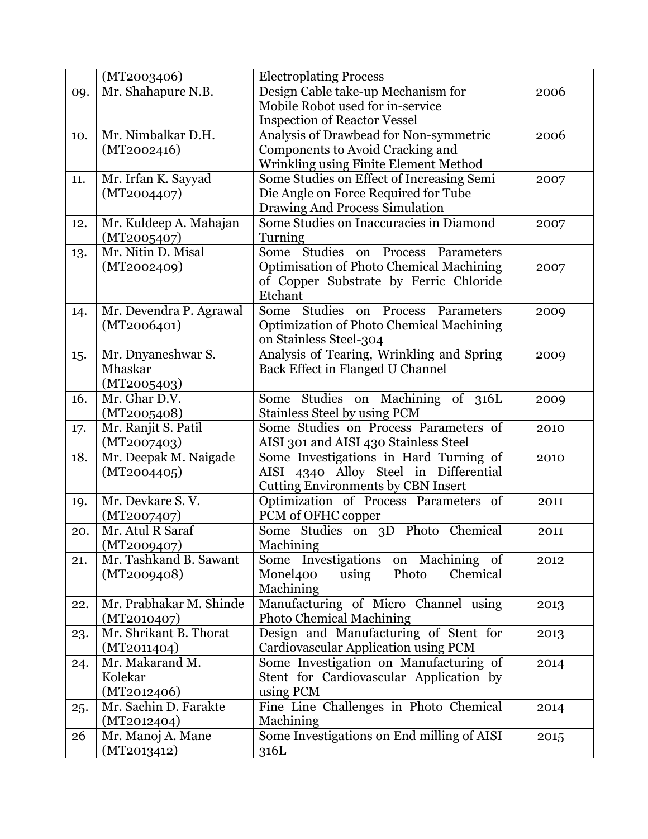|     | (MT2003406)             | <b>Electroplating Process</b>                   |      |
|-----|-------------------------|-------------------------------------------------|------|
| 09. | Mr. Shahapure N.B.      | Design Cable take-up Mechanism for              | 2006 |
|     |                         | Mobile Robot used for in-service                |      |
|     |                         | <b>Inspection of Reactor Vessel</b>             |      |
| 10. | Mr. Nimbalkar D.H.      | Analysis of Drawbead for Non-symmetric          | 2006 |
|     | (MT2002416)             | Components to Avoid Cracking and                |      |
|     |                         | Wrinkling using Finite Element Method           |      |
| 11. | Mr. Irfan K. Sayyad     | Some Studies on Effect of Increasing Semi       | 2007 |
|     | (MT2004407)             | Die Angle on Force Required for Tube            |      |
|     |                         | Drawing And Process Simulation                  |      |
| 12. | Mr. Kuldeep A. Mahajan  | Some Studies on Inaccuracies in Diamond         | 2007 |
|     | (MT2005407)             | Turning                                         |      |
| 13. | Mr. Nitin D. Misal      | Studies on Process Parameters<br>Some           |      |
|     | (MT2002409)             | Optimisation of Photo Chemical Machining        | 2007 |
|     |                         | of Copper Substrate by Ferric Chloride          |      |
|     |                         | Etchant                                         |      |
| 14. | Mr. Devendra P. Agrawal | Some Studies<br>Process Parameters<br>on        | 2009 |
|     | (MT2006401)             | <b>Optimization of Photo Chemical Machining</b> |      |
|     |                         | on Stainless Steel-304                          |      |
| 15. | Mr. Dnyaneshwar S.      | Analysis of Tearing, Wrinkling and Spring       | 2009 |
|     | Mhaskar                 | Back Effect in Flanged U Channel                |      |
|     | (MT2005403)             |                                                 |      |
| 16. | Mr. Ghar D.V.           | Studies on Machining of 316L<br>Some            | 2009 |
|     | (MT2005408)             | Stainless Steel by using PCM                    |      |
| 17. | Mr. Ranjit S. Patil     | Some Studies on Process Parameters of           | 2010 |
|     | (MT2007403)             | AISI 301 and AISI 430 Stainless Steel           |      |
| 18. | Mr. Deepak M. Naigade   | Some Investigations in Hard Turning of          | 2010 |
|     | (MT2004405)             | AISI 4340 Alloy Steel in Differential           |      |
|     |                         | <b>Cutting Environments by CBN Insert</b>       |      |
| 19. | Mr. Devkare S.V.        | Optimization of Process Parameters of           | 2011 |
|     | (MT2007407)             | PCM of OFHC copper                              |      |
| 20. | Mr. Atul R Saraf        | Some Studies on 3D Photo Chemical               | 2011 |
|     | (MT2009407)             | Machining                                       |      |
| 21. | Mr. Tashkand B. Sawant  | Some Investigations<br>on Machining of          | 2012 |
|     | (MT2009408)             | Monel400<br>Photo<br>using<br>Chemical          |      |
|     |                         | Machining                                       |      |
| 22. | Mr. Prabhakar M. Shinde | Manufacturing of Micro Channel using            | 2013 |
|     | (MT2010407)             | <b>Photo Chemical Machining</b>                 |      |
| 23. | Mr. Shrikant B. Thorat  | Design and Manufacturing of Stent for           | 2013 |
|     | (MT2011404)             | Cardiovascular Application using PCM            |      |
| 24. | Mr. Makarand M.         | Some Investigation on Manufacturing of          | 2014 |
|     | Kolekar                 | Stent for Cardiovascular Application by         |      |
|     | (MT2012406)             | using PCM                                       |      |
| 25. | Mr. Sachin D. Farakte   | Fine Line Challenges in Photo Chemical          | 2014 |
|     | (MT2012404)             | Machining                                       |      |
| 26  | Mr. Manoj A. Mane       | Some Investigations on End milling of AISI      | 2015 |
|     | (MT2013412)             | 316L                                            |      |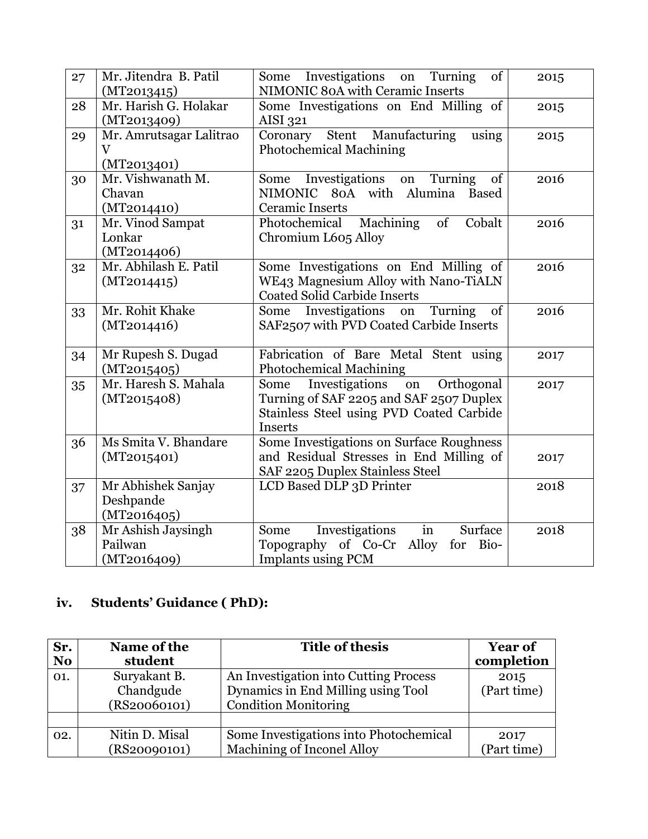| 27 | Mr. Jitendra B. Patil   | Some Investigations on Turning<br>of<br>NIMONIC 80A with Ceramic Inserts | 2015 |
|----|-------------------------|--------------------------------------------------------------------------|------|
|    | (MT2013415)             |                                                                          |      |
| 28 | Mr. Harish G. Holakar   | Some Investigations on End Milling of                                    | 2015 |
|    | (MT2013409)             | AISI 321                                                                 |      |
| 29 | Mr. Amrutsagar Lalitrao | Stent Manufacturing<br>Coronary<br>using                                 | 2015 |
|    | $\overline{\mathbf{V}}$ | <b>Photochemical Machining</b>                                           |      |
|    | (MT2013401)             |                                                                          |      |
| 30 | Mr. Vishwanath M.       | Some Investigations on Turning<br>of                                     | 2016 |
|    | Chavan                  | NIMONIC 80A with Alumina Based                                           |      |
|    | (MT2014410)             | <b>Ceramic Inserts</b>                                                   |      |
| 31 | Mr. Vinod Sampat        | Machining<br>Cobalt<br>Photochemical<br>of                               | 2016 |
|    | Lonkar                  | Chromium L605 Alloy                                                      |      |
|    | (MT2014406)             |                                                                          |      |
| 32 | Mr. Abhilash E. Patil   | Some Investigations on End Milling of                                    | 2016 |
|    | (MT2014415)             | WE43 Magnesium Alloy with Nano-TiALN                                     |      |
|    |                         | <b>Coated Solid Carbide Inserts</b>                                      |      |
| 33 | Mr. Rohit Khake         | Investigations<br>Some<br>Turning<br>on<br>of                            | 2016 |
|    | (MT2014416)             | SAF2507 with PVD Coated Carbide Inserts                                  |      |
|    |                         |                                                                          |      |
| 34 | Mr Rupesh S. Dugad      | Fabrication of Bare Metal Stent using                                    | 2017 |
|    | (MT2015405)             | <b>Photochemical Machining</b>                                           |      |
| 35 | Mr. Haresh S. Mahala    | Investigations on<br>Some<br>Orthogonal                                  | 2017 |
|    | (MT2015408)             | Turning of SAF 2205 and SAF 2507 Duplex                                  |      |
|    |                         | Stainless Steel using PVD Coated Carbide                                 |      |
|    |                         | Inserts                                                                  |      |
| 36 | Ms Smita V. Bhandare    | Some Investigations on Surface Roughness                                 |      |
|    | (MT2015401)             | and Residual Stresses in End Milling of                                  | 2017 |
|    |                         | SAF 2205 Duplex Stainless Steel                                          |      |
| 37 | Mr Abhishek Sanjay      | LCD Based DLP 3D Printer                                                 | 2018 |
|    | Deshpande               |                                                                          |      |
|    | (MT2016405)             |                                                                          |      |
| 38 | Mr Ashish Jaysingh      | Investigations<br>Surface<br>in<br>Some                                  | 2018 |
|    | Pailwan                 | Topography of Co-Cr Alloy<br>Bio-<br>for                                 |      |
|    | (MT2016409)             | <b>Implants using PCM</b>                                                |      |
|    |                         |                                                                          |      |

# **iv. Students' Guidance ( PhD):**

| Sr.            | Name of the    | Title of thesis                        | <b>Year of</b> |
|----------------|----------------|----------------------------------------|----------------|
| N <sub>o</sub> | student        |                                        | completion     |
| 01.            | Suryakant B.   | An Investigation into Cutting Process  | 2015           |
|                | Chandgude      | Dynamics in End Milling using Tool     | (Part time)    |
|                | (RS20060101)   | <b>Condition Monitoring</b>            |                |
|                |                |                                        |                |
| 02.            | Nitin D. Misal | Some Investigations into Photochemical | 2017           |
|                | (RS20090101)   | Machining of Inconel Alloy             | (Part time)    |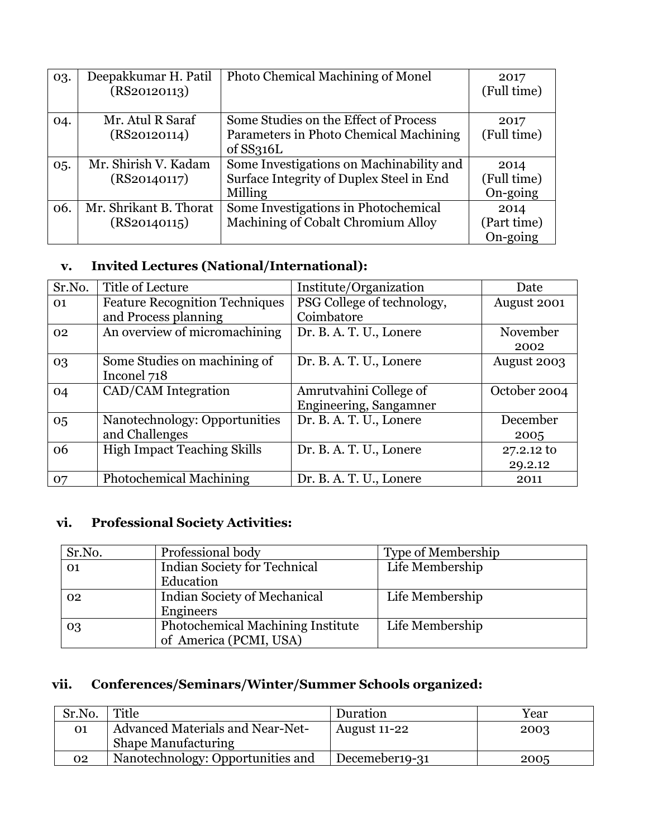| 03. | Deepakkumar H. Patil<br>(RS20120113) | Photo Chemical Machining of Monel        | 2017<br>(Full time) |
|-----|--------------------------------------|------------------------------------------|---------------------|
| 04. | Mr. Atul R Saraf                     | Some Studies on the Effect of Process    | 2017                |
|     | (RS20120114)                         | Parameters in Photo Chemical Machining   | (Full time)         |
|     |                                      | of $SS316L$                              |                     |
| 05. | Mr. Shirish V. Kadam                 | Some Investigations on Machinability and | 2014                |
|     | (RS20140117)                         | Surface Integrity of Duplex Steel in End | (Full time)         |
|     |                                      | Milling                                  | On-going            |
| 06. | Mr. Shrikant B. Thorat               | Some Investigations in Photochemical     | 2014                |
|     | (RS20140115)                         | Machining of Cobalt Chromium Alloy       | (Part time)         |
|     |                                      |                                          | On-going            |

## **v. Invited Lectures (National/International):**

| Sr.No. | Title of Lecture                      | Institute/Organization     | Date         |
|--------|---------------------------------------|----------------------------|--------------|
| 01     | <b>Feature Recognition Techniques</b> | PSG College of technology, | August 2001  |
|        | and Process planning                  | Coimbatore                 |              |
| 02     | An overview of micromachining         | Dr. B. A. T. U., Lonere    | November     |
|        |                                       |                            | 2002         |
| 03     | Some Studies on machining of          | Dr. B. A. T. U., Lonere    | August 2003  |
|        | Inconel 718                           |                            |              |
| 04     | CAD/CAM Integration                   | Amrutvahini College of     | October 2004 |
|        |                                       | Engineering, Sangamner     |              |
| 05     | Nanotechnology: Opportunities         | Dr. B. A. T. U., Lonere    | December     |
|        | and Challenges                        |                            | 2005         |
| 06     | <b>High Impact Teaching Skills</b>    | Dr. B. A. T. U., Lonere    | 27.2.12 to   |
|        |                                       |                            | 29.2.12      |
| 07     | <b>Photochemical Machining</b>        | Dr. B. A. T. U., Lonere    | 2011         |

# **vi. Professional Society Activities:**

| Sr.No. | Professional body                        | <b>Type of Membership</b> |
|--------|------------------------------------------|---------------------------|
| 01     | <b>Indian Society for Technical</b>      | Life Membership           |
|        | Education                                |                           |
| 02     | Indian Society of Mechanical             | Life Membership           |
|        | Engineers                                |                           |
| 03     | <b>Photochemical Machining Institute</b> | Life Membership           |
|        | of America (PCMI, USA)                   |                           |

# **vii. Conferences/Seminars/Winter/Summer Schools organized:**

| Sr.No.    | Title                                   | Duration       | Year |
|-----------|-----------------------------------------|----------------|------|
| <b>O1</b> | <b>Advanced Materials and Near-Net-</b> | August 11-22   | 2003 |
|           | <b>Shape Manufacturing</b>              |                |      |
| 02        | Nanotechnology: Opportunities and       | Decemeber19-31 | 2005 |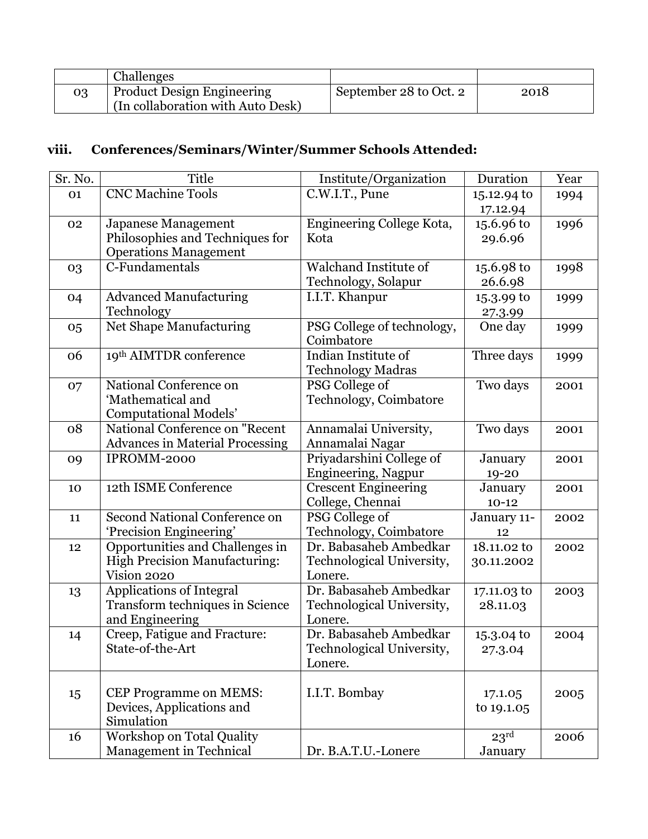|    | <b>Challenges</b>                 |                        |      |
|----|-----------------------------------|------------------------|------|
| 03 | <b>Product Design Engineering</b> | September 28 to Oct. 2 | 2018 |
|    | (In collaboration with Auto Desk) |                        |      |

# **viii. Conferences/Seminars/Winter/Summer Schools Attended:**

| Sr. No. | Title                                  | Institute/Organization       | Duration         | Year |
|---------|----------------------------------------|------------------------------|------------------|------|
| 01      | <b>CNC Machine Tools</b>               | C.W.I.T., Pune               | 15.12.94 to      | 1994 |
|         |                                        |                              | 17.12.94         |      |
| 02      | Japanese Management                    | Engineering College Kota,    | 15.6.96 to       | 1996 |
|         | Philosophies and Techniques for        | Kota                         | 29.6.96          |      |
|         | <b>Operations Management</b>           |                              |                  |      |
| 03      | C-Fundamentals                         | <b>Walchand Institute of</b> | 15.6.98 to       | 1998 |
|         |                                        | Technology, Solapur          | 26.6.98          |      |
| 04      | <b>Advanced Manufacturing</b>          | I.I.T. Khanpur               | 15.3.99 to       | 1999 |
|         | Technology                             |                              | 27.3.99          |      |
| 05      | Net Shape Manufacturing                | PSG College of technology,   | One day          | 1999 |
|         |                                        | Coimbatore                   |                  |      |
| 06      | 19th AIMTDR conference                 | Indian Institute of          | Three days       | 1999 |
|         |                                        | <b>Technology Madras</b>     |                  |      |
| 07      | National Conference on                 | PSG College of               | Two days         | 2001 |
|         | 'Mathematical and                      | Technology, Coimbatore       |                  |      |
|         | <b>Computational Models'</b>           |                              |                  |      |
| 08      | National Conference on "Recent         | Annamalai University,        | Two days         | 2001 |
|         | <b>Advances in Material Processing</b> | Annamalai Nagar              |                  |      |
| 09      | IPROMM-2000                            | Priyadarshini College of     | January          | 2001 |
|         |                                        | Engineering, Nagpur          | 19-20            |      |
| 10      | 12th ISME Conference                   | <b>Crescent Engineering</b>  | January          | 2001 |
|         |                                        | College, Chennai             | $10 - 12$        |      |
| 11      | <b>Second National Conference on</b>   | PSG College of               | January 11-      | 2002 |
|         | 'Precision Engineering'                | Technology, Coimbatore       | 12               |      |
| 12      | Opportunities and Challenges in        | Dr. Babasaheb Ambedkar       | 18.11.02 to      | 2002 |
|         | <b>High Precision Manufacturing:</b>   | Technological University,    | 30.11.2002       |      |
|         | Vision 2020                            | Lonere.                      |                  |      |
| 13      | <b>Applications of Integral</b>        | Dr. Babasaheb Ambedkar       | 17.11.03 to      | 2003 |
|         | Transform techniques in Science        | Technological University,    | 28.11.03         |      |
|         | and Engineering                        | Lonere.                      |                  |      |
| 14      | Creep, Fatigue and Fracture:           | Dr. Babasaheb Ambedkar       | 15.3.04 to       | 2004 |
|         | State-of-the-Art                       | Technological University,    | 27.3.04          |      |
|         |                                        | Lonere.                      |                  |      |
|         |                                        |                              |                  |      |
| 15      | <b>CEP Programme on MEMS:</b>          | I.I.T. Bombay                | 17.1.05          | 2005 |
|         | Devices, Applications and              |                              | to 19.1.05       |      |
|         | Simulation                             |                              |                  |      |
| 16      | Workshop on Total Quality              |                              | 23 <sup>rd</sup> | 2006 |
|         | Management in Technical                | Dr. B.A.T.U.-Lonere          | January          |      |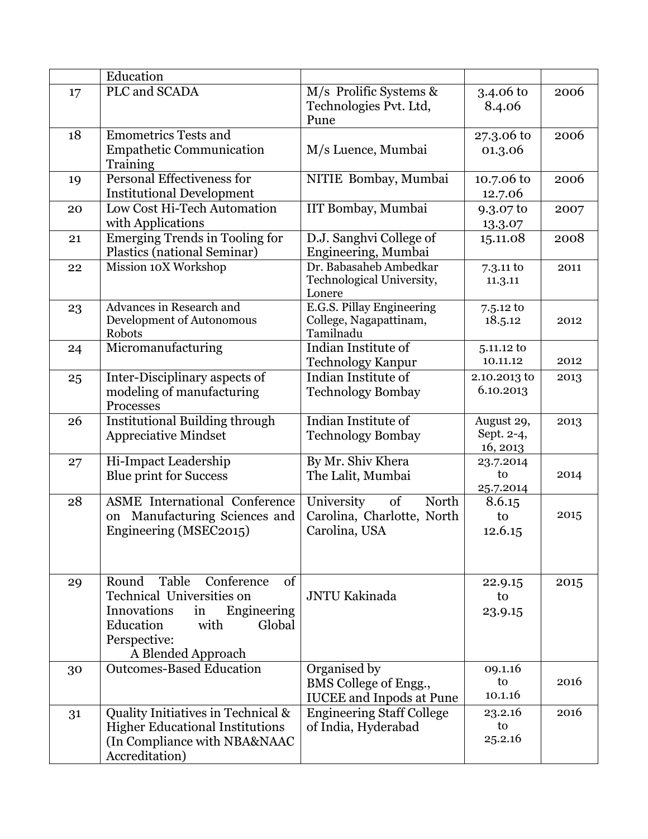|    | Education                                                                                                                                                                |                                                                          |                                      |      |
|----|--------------------------------------------------------------------------------------------------------------------------------------------------------------------------|--------------------------------------------------------------------------|--------------------------------------|------|
| 17 | PLC and SCADA                                                                                                                                                            | M/s Prolific Systems &<br>Technologies Pvt. Ltd,<br>Pune                 | 3.4.06 to<br>8.4.06                  | 2006 |
| 18 | Emometrics Tests and<br><b>Empathetic Communication</b><br>Training                                                                                                      | M/s Luence, Mumbai                                                       | 27.3.06 to<br>01.3.06                | 2006 |
| 19 | <b>Personal Effectiveness for</b><br><b>Institutional Development</b>                                                                                                    | NITIE Bombay, Mumbai                                                     | 10.7.06 to<br>12.7.06                | 2006 |
| 20 | Low Cost Hi-Tech Automation<br>with Applications                                                                                                                         | IIT Bombay, Mumbai                                                       | 9.3.07 to<br>13.3.07                 | 2007 |
| 21 | Emerging Trends in Tooling for<br>Plastics (national Seminar)                                                                                                            | D.J. Sanghvi College of<br>Engineering, Mumbai                           | 15.11.08                             | 2008 |
| 22 | Mission 10X Workshop                                                                                                                                                     | Dr. Babasaheb Ambedkar<br>Technological University,<br>Lonere            | $7.3.11$ to<br>11.3.11               | 2011 |
| 23 | Advances in Research and<br>Development of Autonomous<br>Robots                                                                                                          | E.G.S. Pillay Engineering<br>College, Nagapattinam,<br>Tamilnadu         | $7.5.12 \text{ to}$<br>18.5.12       | 2012 |
| 24 | Micromanufacturing                                                                                                                                                       | Indian Institute of<br><b>Technology Kanpur</b>                          | 5.11.12 to<br>10.11.12               | 2012 |
| 25 | Inter-Disciplinary aspects of<br>modeling of manufacturing<br>Processes                                                                                                  | Indian Institute of<br><b>Technology Bombay</b>                          | 2.10.2013 to<br>6.10.2013            | 2013 |
| 26 | <b>Institutional Building through</b><br><b>Appreciative Mindset</b>                                                                                                     | Indian Institute of<br><b>Technology Bombay</b>                          | August 29,<br>Sept. 2-4,<br>16, 2013 | 2013 |
| 27 | Hi-Impact Leadership<br><b>Blue print for Success</b>                                                                                                                    | By Mr. Shiv Khera<br>The Lalit, Mumbai                                   | 23.7.2014<br>to<br>25.7.2014         | 2014 |
| 28 | <b>ASME</b> International Conference<br>on Manufacturing Sciences and<br>Engineering (MSEC2015)                                                                          | University<br>of<br>North<br>Carolina, Charlotte, North<br>Carolina, USA | 8.6.15<br>to<br>12.6.15              | 2015 |
| 29 | Table<br>Round<br>Conference<br>of<br>Technical Universities on<br>Innovations<br>Engineering<br>in<br>Education<br>with<br>Global<br>Perspective:<br>A Blended Approach | <b>JNTU Kakinada</b>                                                     | 22.9.15<br>to<br>23.9.15             | 2015 |
| 30 | <b>Outcomes-Based Education</b>                                                                                                                                          | Organised by<br>BMS College of Engg.,<br><b>IUCEE</b> and Inpods at Pune | 09.1.16<br>to<br>10.1.16             | 2016 |
| 31 | Quality Initiatives in Technical &<br><b>Higher Educational Institutions</b><br>(In Compliance with NBA&NAAC<br>Accreditation)                                           | <b>Engineering Staff College</b><br>of India, Hyderabad                  | 23.2.16<br>to<br>25.2.16             | 2016 |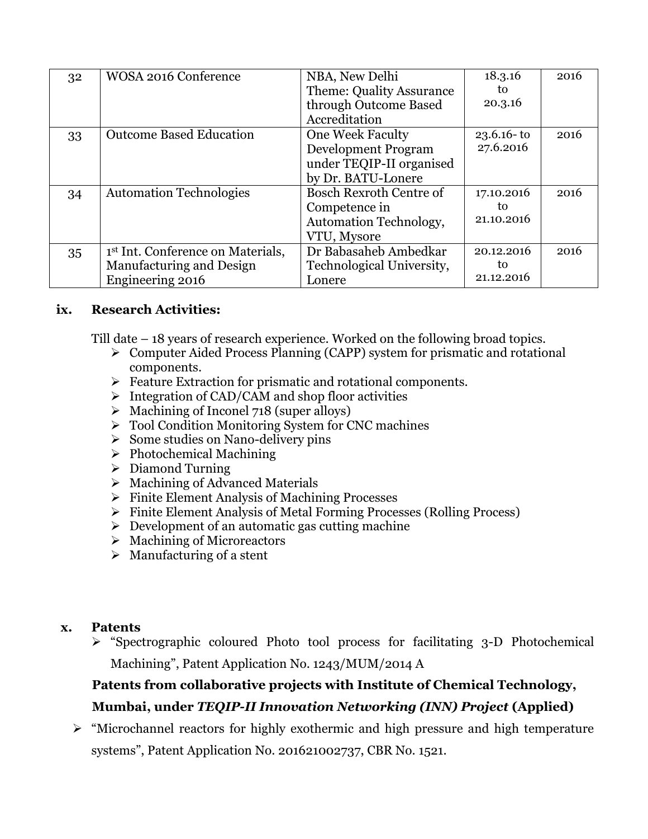| 32 | <b>WOSA 2016 Conference</b>                   | NBA, New Delhi                  | 18.3.16        | 2016 |
|----|-----------------------------------------------|---------------------------------|----------------|------|
|    |                                               | <b>Theme: Quality Assurance</b> | to             |      |
|    |                                               | through Outcome Based           | 20.3.16        |      |
|    |                                               | Accreditation                   |                |      |
| 33 | <b>Outcome Based Education</b>                | <b>One Week Faculty</b>         | $23.6.16 - t0$ | 2016 |
|    |                                               | <b>Development Program</b>      | 27.6.2016      |      |
|    |                                               | under TEQIP-II organised        |                |      |
|    |                                               | by Dr. BATU-Lonere              |                |      |
| 34 | <b>Automation Technologies</b>                | <b>Bosch Rexroth Centre of</b>  | 17.10.2016     | 2016 |
|    |                                               | Competence in                   | to             |      |
|    |                                               | Automation Technology,          | 21.10.2016     |      |
|    |                                               | VTU, Mysore                     |                |      |
| 35 | 1 <sup>st</sup> Int. Conference on Materials, | Dr Babasaheb Ambedkar           | 20.12.2016     | 2016 |
|    | Manufacturing and Design                      | Technological University,       | to             |      |
|    | Engineering 2016                              | Lonere                          | 21.12.2016     |      |

### **ix. Research Activities:**

Till date – 18 years of research experience. Worked on the following broad topics.

- Computer Aided Process Planning (CAPP) system for prismatic and rotational components.
- $\triangleright$  Feature Extraction for prismatic and rotational components.
- $\triangleright$  Integration of CAD/CAM and shop floor activities
- $\triangleright$  Machining of Inconel 718 (super alloys)
- Tool Condition Monitoring System for CNC machines
- $\triangleright$  Some studies on Nano-delivery pins
- $\triangleright$  Photochemical Machining
- $\triangleright$  Diamond Turning
- $\triangleright$  Machining of Advanced Materials
- $\triangleright$  Finite Element Analysis of Machining Processes
- Finite Element Analysis of Metal Forming Processes (Rolling Process)
- $\triangleright$  Development of an automatic gas cutting machine
- $\triangleright$  Machining of Microreactors
- $\triangleright$  Manufacturing of a stent

#### **x. Patents**

 "Spectrographic coloured Photo tool process for facilitating 3-D Photochemical Machining", Patent Application No. 1243/MUM/2014 A

## **Patents from collaborative projects with Institute of Chemical Technology, Mumbai, under** *TEQIP-II Innovation Networking (INN) Project* **(Applied)**

 $\triangleright$  "Microchannel reactors for highly exothermic and high pressure and high temperature systems", Patent Application No. 201621002737, CBR No. 1521.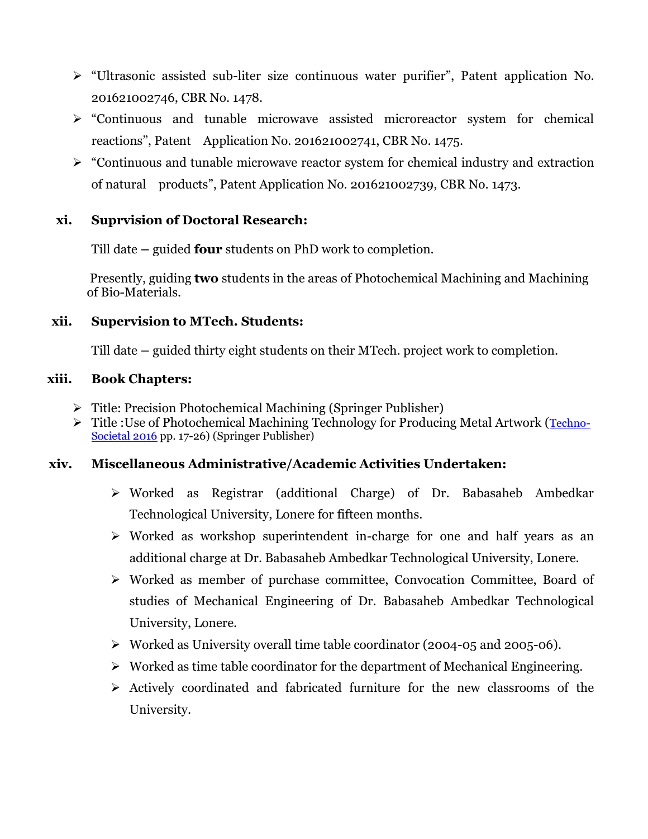- "Ultrasonic assisted sub-liter size continuous water purifier", Patent application No. 201621002746, CBR No. 1478.
- "Continuous and tunable microwave assisted microreactor system for chemical reactions", Patent Application No. 201621002741, CBR No. 1475.
- $\triangleright$  "Continuous and tunable microwave reactor system for chemical industry and extraction of natural products", Patent Application No. 201621002739, CBR No. 1473.

### **xi. Suprvision of Doctoral Research:**

Till date **–** guided **four** students on PhD work to completion.

 Presently, guiding **two** students in the areas of Photochemical Machining and Machining of Bio-Materials.

### **xii. Supervision to MTech. Students:**

Till date **–** guided thirty eight students on their MTech. project work to completion.

#### **xiii. Book Chapters:**

- Title: Precision Photochemical Machining (Springer Publisher)
- Title :Use of Photochemical Machining Technology for Producing Metal Artwork ([Techno-](https://link.springer.com/book/10.1007/978-3-319-53556-2)[Societal 2016](https://link.springer.com/book/10.1007/978-3-319-53556-2) pp. 17-26) (Springer Publisher)

### **xiv. Miscellaneous Administrative/Academic Activities Undertaken:**

- Worked as Registrar (additional Charge) of Dr. Babasaheb Ambedkar Technological University, Lonere for fifteen months.
- Worked as workshop superintendent in-charge for one and half years as an additional charge at Dr. Babasaheb Ambedkar Technological University, Lonere.
- Worked as member of purchase committee, Convocation Committee, Board of studies of Mechanical Engineering of Dr. Babasaheb Ambedkar Technological University, Lonere.
- Worked as University overall time table coordinator (2004-05 and 2005-06).
- $\triangleright$  Worked as time table coordinator for the department of Mechanical Engineering.
- $\triangleright$  Actively coordinated and fabricated furniture for the new classrooms of the University.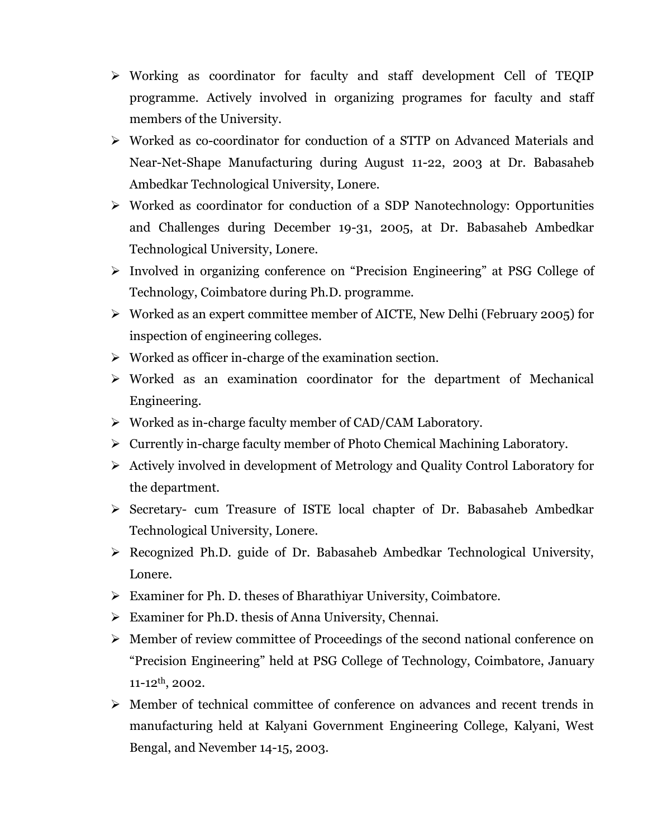- Working as coordinator for faculty and staff development Cell of TEQIP programme. Actively involved in organizing programes for faculty and staff members of the University.
- Worked as co-coordinator for conduction of a STTP on Advanced Materials and Near-Net-Shape Manufacturing during August 11-22, 2003 at Dr. Babasaheb Ambedkar Technological University, Lonere.
- Worked as coordinator for conduction of a SDP Nanotechnology: Opportunities and Challenges during December 19-31, 2005, at Dr. Babasaheb Ambedkar Technological University, Lonere.
- Involved in organizing conference on "Precision Engineering" at PSG College of Technology, Coimbatore during Ph.D. programme.
- Worked as an expert committee member of AICTE, New Delhi (February 2005) for inspection of engineering colleges.
- $\triangleright$  Worked as officer in-charge of the examination section.
- $\triangleright$  Worked as an examination coordinator for the department of Mechanical Engineering.
- Worked as in-charge faculty member of CAD/CAM Laboratory.
- $\triangleright$  Currently in-charge faculty member of Photo Chemical Machining Laboratory.
- $\triangleright$  Actively involved in development of Metrology and Quality Control Laboratory for the department.
- Secretary- cum Treasure of ISTE local chapter of Dr. Babasaheb Ambedkar Technological University, Lonere.
- Recognized Ph.D. guide of Dr. Babasaheb Ambedkar Technological University, Lonere.
- Examiner for Ph. D. theses of Bharathiyar University, Coimbatore.
- Examiner for Ph.D. thesis of Anna University, Chennai.
- Member of review committee of Proceedings of the second national conference on "Precision Engineering" held at PSG College of Technology, Coimbatore, January  $11-12$ <sup>th</sup>, 2002.
- Member of technical committee of conference on advances and recent trends in manufacturing held at Kalyani Government Engineering College, Kalyani, West Bengal, and Nevember 14-15, 2003.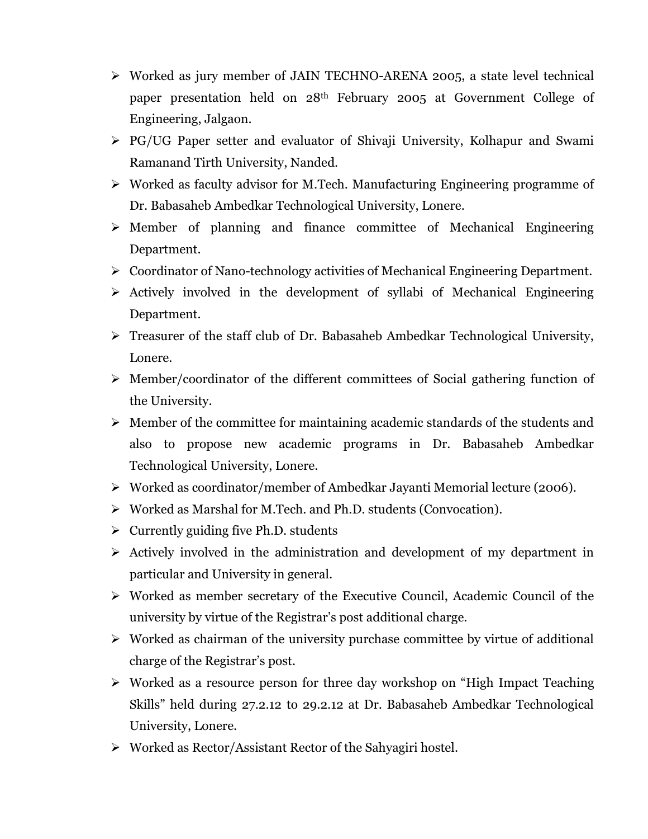- Worked as jury member of JAIN TECHNO-ARENA 2005, a state level technical paper presentation held on 28th February 2005 at Government College of Engineering, Jalgaon.
- PG/UG Paper setter and evaluator of Shivaji University, Kolhapur and Swami Ramanand Tirth University, Nanded.
- $\triangleright$  Worked as faculty advisor for M.Tech. Manufacturing Engineering programme of Dr. Babasaheb Ambedkar Technological University, Lonere.
- $\triangleright$  Member of planning and finance committee of Mechanical Engineering Department.
- Coordinator of Nano-technology activities of Mechanical Engineering Department.
- $\triangleright$  Actively involved in the development of syllabi of Mechanical Engineering Department.
- Treasurer of the staff club of Dr. Babasaheb Ambedkar Technological University, Lonere.
- Member/coordinator of the different committees of Social gathering function of the University.
- $\triangleright$  Member of the committee for maintaining academic standards of the students and also to propose new academic programs in Dr. Babasaheb Ambedkar Technological University, Lonere.
- Worked as coordinator/member of Ambedkar Jayanti Memorial lecture (2006).
- Worked as Marshal for M.Tech. and Ph.D. students (Convocation).
- $\triangleright$  Currently guiding five Ph.D. students
- $\triangleright$  Actively involved in the administration and development of my department in particular and University in general.
- Worked as member secretary of the Executive Council, Academic Council of the university by virtue of the Registrar"s post additional charge.
- $\triangleright$  Worked as chairman of the university purchase committee by virtue of additional charge of the Registrar's post.
- Worked as a resource person for three day workshop on "High Impact Teaching Skills" held during 27.2.12 to 29.2.12 at Dr. Babasaheb Ambedkar Technological University, Lonere.
- Worked as Rector/Assistant Rector of the Sahyagiri hostel.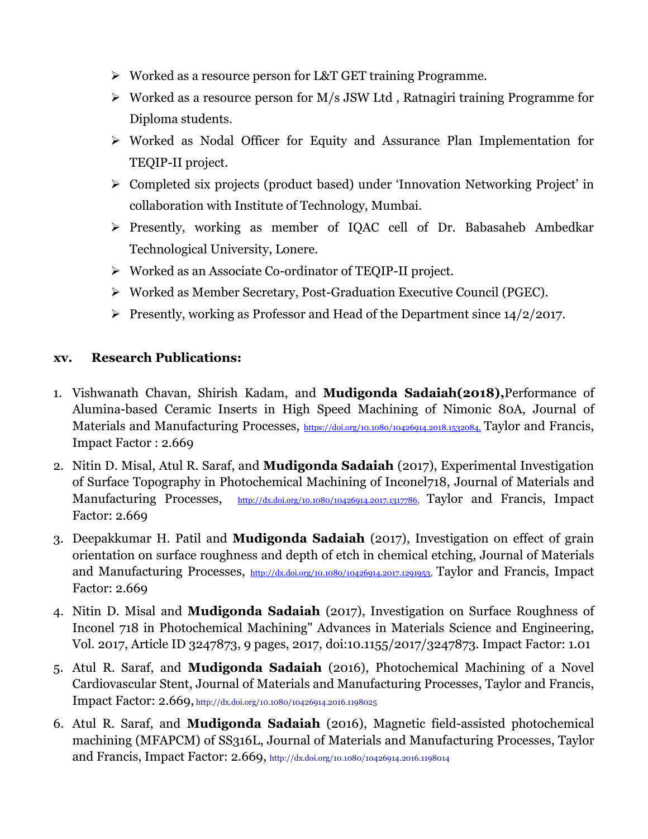- Worked as a resource person for L&T GET training Programme.
- $\triangleright$  Worked as a resource person for M/s JSW Ltd, Ratnagiri training Programme for Diploma students.
- Worked as Nodal Officer for Equity and Assurance Plan Implementation for TEQIP-II project.
- Completed six projects (product based) under "Innovation Networking Project" in collaboration with Institute of Technology, Mumbai.
- Presently, working as member of IQAC cell of Dr. Babasaheb Ambedkar Technological University, Lonere.
- Worked as an Associate Co-ordinator of TEQIP-II project.
- Worked as Member Secretary, Post-Graduation Executive Council (PGEC).
- Presently, working as Professor and Head of the Department since  $14/2/2017$ .

## **xv. Research Publications:**

- 1. Vishwanath Chavan, Shirish Kadam, and **Mudigonda Sadaiah(2018),**Performance of Alumina-based Ceramic Inserts in High Speed Machining of Nimonic 80A, Journal of Materials and Manufacturing Processes, <https://doi.org/10.1080/10426914.2018.1532084,> Taylor and Francis, Impact Factor : 2.669
- 2. Nitin D. Misal, Atul R. Saraf, and **Mudigonda Sadaiah** (2017), Experimental Investigation of Surface Topography in Photochemical Machining of Inconel718, Journal of Materials and Manufacturing Processes, [http://dx.doi.org/10.1080/10426914.2017.1317786,](http://dx.doi.org/10.1080/10426914.2017.1317786) Taylor and Francis, Impact Factor: 2.669
- 3. Deepakkumar H. Patil and **Mudigonda Sadaiah** (2017), Investigation on effect of grain orientation on surface roughness and depth of etch in chemical etching, Journal of Materials and Manufacturing Processes, [http://dx.doi.org/10.1080/10426914.2017.1291953,](http://dx.doi.org/10.1080/10426914.2017.1291953) Taylor and Francis, Impact Factor: 2.669
- 4. Nitin D. Misal and **Mudigonda Sadaiah** (2017), Investigation on Surface Roughness of Inconel 718 in Photochemical Machining" Advances in Materials Science and Engineering, Vol. 2017, Article ID 3247873, 9 pages, 2017, doi:10.1155/2017/3247873. Impact Factor: 1.01
- 5. Atul R. Saraf, and **Mudigonda Sadaiah** (2016), Photochemical Machining of a Novel Cardiovascular Stent, Journal of Materials and Manufacturing Processes, Taylor and Francis, Impact Factor: 2.669, http://dx.doi.org/10.1080/10426914.2016.1198025
- 6. Atul R. Saraf, and **Mudigonda Sadaiah** (2016), Magnetic field-assisted photochemical machining (MFAPCM) of SS316L, Journal of Materials and Manufacturing Processes, Taylor and Francis, Impact Factor: 2.669, http://dx.doi.org/10.1080/10426914.2016.1198014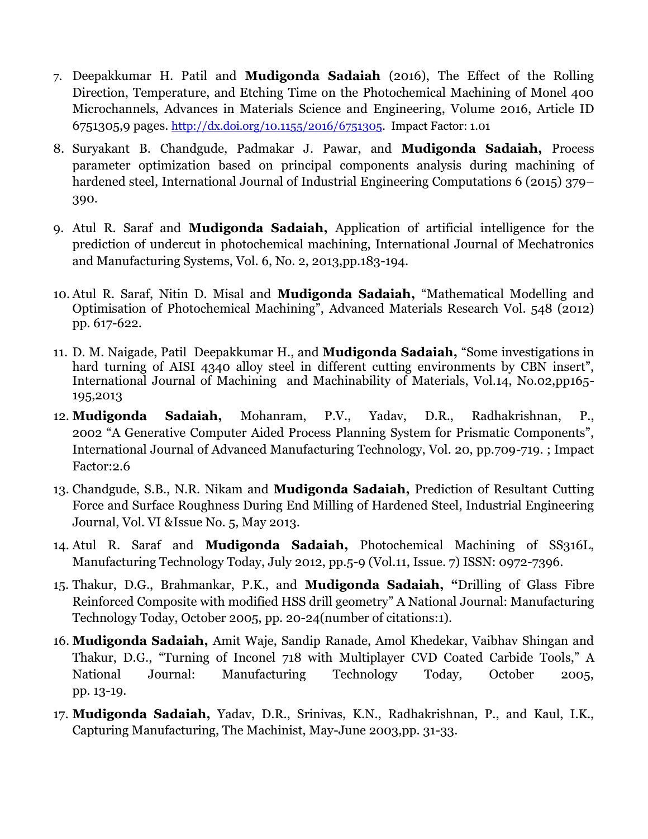- 7. Deepakkumar H. Patil and **Mudigonda Sadaiah** (2016), The Effect of the Rolling Direction, Temperature, and Etching Time on the Photochemical Machining of Monel 400 Microchannels, Advances in Materials Science and Engineering, Volume 2016, Article ID 6751305,9 pages. [http://dx.doi.org/10.1155/2016/6751305.](http://dx.doi.org/10.1155/2016/6751305) Impact Factor: 1.01
- 8. Suryakant B. Chandgude, Padmakar J. Pawar, and **Mudigonda Sadaiah,** Process parameter optimization based on principal components analysis during machining of hardened steel, International Journal of Industrial Engineering Computations 6 (2015) 379– 390.
- 9. Atul R. Saraf and **Mudigonda Sadaiah,** Application of artificial intelligence for the prediction of undercut in photochemical machining, International Journal of Mechatronics and Manufacturing Systems, Vol. 6, No. 2, 2013,pp.183-194.
- 10. Atul R. Saraf, Nitin D. Misal and **Mudigonda Sadaiah,** "Mathematical Modelling and Optimisation of Photochemical Machining", Advanced Materials Research Vol. 548 (2012) pp. 617-622.
- 11. D. M. Naigade, Patil Deepakkumar H., and **Mudigonda Sadaiah,** "Some investigations in hard turning of AISI 4340 alloy steel in different cutting environments by CBN insert". International Journal of Machining and Machinability of Materials, Vol.14, No.02,pp165- 195,2013
- 12. **Mudigonda Sadaiah,** Mohanram, P.V., Yadav, D.R., Radhakrishnan, P., 2002 "A Generative Computer Aided Process Planning System for Prismatic Components", International Journal of Advanced Manufacturing Technology, Vol. 20, pp.709-719. ; Impact Factor:2.6
- 13. Chandgude, S.B., N.R. Nikam and **Mudigonda Sadaiah,** Prediction of Resultant Cutting Force and Surface Roughness During End Milling of Hardened Steel, Industrial Engineering Journal, Vol. VI &Issue No. 5, May 2013.
- 14. Atul R. Saraf and **Mudigonda Sadaiah,** Photochemical Machining of SS316L, Manufacturing Technology Today, July 2012, pp.5-9 (Vol.11, Issue. 7) ISSN: 0972-7396.
- 15. Thakur, D.G., Brahmankar, P.K., and **Mudigonda Sadaiah, "**Drilling of Glass Fibre Reinforced Composite with modified HSS drill geometry" A National Journal: Manufacturing Technology Today, October 2005, pp. 20-24(number of citations:1).
- 16. **Mudigonda Sadaiah,** Amit Waje, Sandip Ranade, Amol Khedekar, Vaibhav Shingan and Thakur, D.G., "Turning of Inconel 718 with Multiplayer CVD Coated Carbide Tools," A National Journal: Manufacturing Technology Today, October 2005, pp. 13-19.
- 17. **Mudigonda Sadaiah,** Yadav, D.R., Srinivas, K.N., Radhakrishnan, P., and Kaul, I.K., Capturing Manufacturing, The Machinist, May-June 2003,pp. 31-33.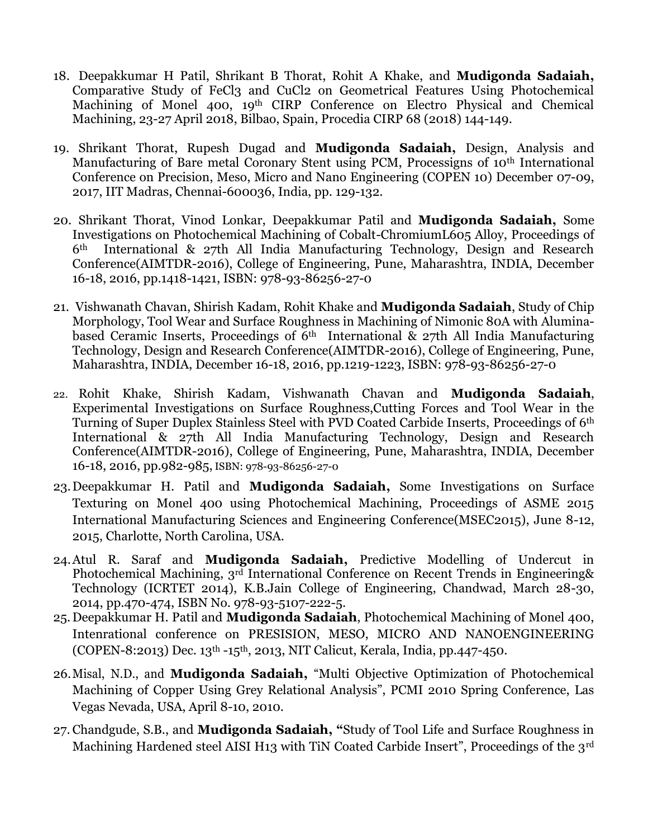- 18. Deepakkumar H Patil, Shrikant B Thorat, Rohit A Khake, and **Mudigonda Sadaiah,**  Comparative Study of FeCl3 and CuCl2 on Geometrical Features Using Photochemical Machining of Monel 400, 19th CIRP Conference on Electro Physical and Chemical Machining, 23-27 April 2018, Bilbao, Spain, Procedia CIRP 68 (2018) 144-149.
- 19. Shrikant Thorat, Rupesh Dugad and **Mudigonda Sadaiah,** Design, Analysis and Manufacturing of Bare metal Coronary Stent using PCM, Processigns of 10<sup>th</sup> International Conference on Precision, Meso, Micro and Nano Engineering (COPEN 10) December 07-09, 2017, IIT Madras, Chennai-600036, India, pp. 129-132.
- 20. Shrikant Thorat, Vinod Lonkar, Deepakkumar Patil and **Mudigonda Sadaiah,** Some Investigations on Photochemical Machining of Cobalt-ChromiumL605 Alloy, Proceedings of 6th International & 27th All India Manufacturing Technology, Design and Research Conference(AIMTDR-2016), College of Engineering, Pune, Maharashtra, INDIA, December 16-18, 2016, pp.1418-1421, ISBN: 978-93-86256-27-0
- 21. Vishwanath Chavan, Shirish Kadam, Rohit Khake and **Mudigonda Sadaiah**, Study of Chip Morphology, Tool Wear and Surface Roughness in Machining of Nimonic 80A with Aluminabased Ceramic Inserts, Proceedings of  $\tilde{6}$ <sup>th</sup> International & 27th All India Manufacturing Technology, Design and Research Conference(AIMTDR-2016), College of Engineering, Pune, Maharashtra, INDIA, December 16-18, 2016, pp.1219-1223, ISBN: 978-93-86256-27-0
- 22. Rohit Khake, Shirish Kadam, Vishwanath Chavan and **Mudigonda Sadaiah**, Experimental Investigations on Surface Roughness,Cutting Forces and Tool Wear in the Turning of Super Duplex Stainless Steel with PVD Coated Carbide Inserts, Proceedings of 6th International & 27th All India Manufacturing Technology, Design and Research Conference(AIMTDR-2016), College of Engineering, Pune, Maharashtra, INDIA, December 16-18, 2016, pp.982-985, ISBN: 978-93-86256-27-0
- 23.Deepakkumar H. Patil and **Mudigonda Sadaiah,** Some Investigations on Surface Texturing on Monel 400 using Photochemical Machining, Proceedings of ASME 2015 International Manufacturing Sciences and Engineering Conference(MSEC2015), June 8-12, 2015, Charlotte, North Carolina, USA.
- 24.Atul R. Saraf and **Mudigonda Sadaiah,** Predictive Modelling of Undercut in Photochemical Machining, 3rd International Conference on Recent Trends in Engineering& Technology (ICRTET 2014), K.B.Jain College of Engineering, Chandwad, March 28-30, 2014, pp.470-474, ISBN No. 978-93-5107-222-5.
- 25.Deepakkumar H. Patil and **Mudigonda Sadaiah**, Photochemical Machining of Monel 400, Intenrational conference on PRESISION, MESO, MICRO AND NANOENGINEERING (COPEN-8:2013) Dec. 13th -15th, 2013, NIT Calicut, Kerala, India, pp.447-450.
- 26.Misal, N.D., and **Mudigonda Sadaiah,** "Multi Objective Optimization of Photochemical Machining of Copper Using Grey Relational Analysis", PCMI 2010 Spring Conference, Las Vegas Nevada, USA, April 8-10, 2010.
- 27. Chandgude, S.B., and **Mudigonda Sadaiah, "**Study of Tool Life and Surface Roughness in Machining Hardened steel AISI H13 with TiN Coated Carbide Insert", Proceedings of the 3<sup>rd</sup>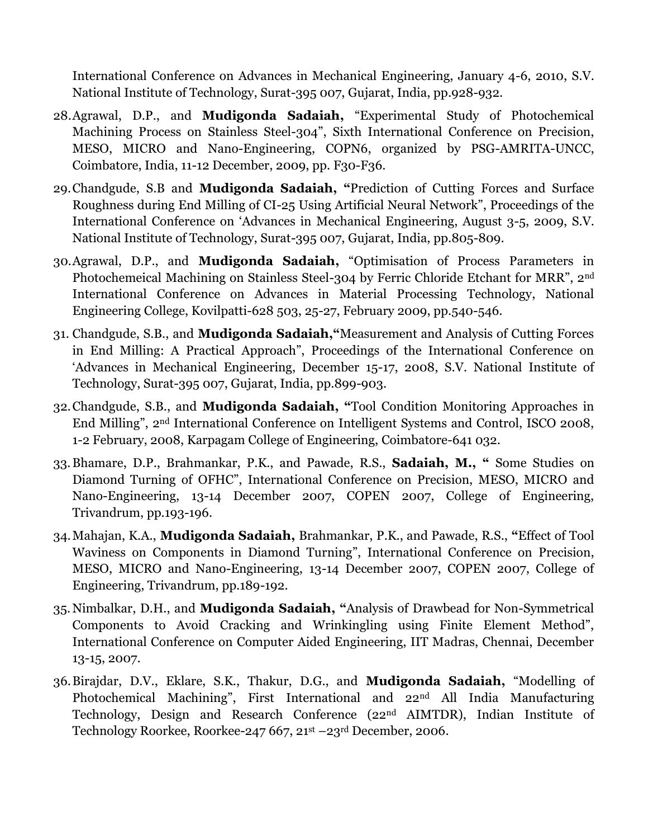International Conference on Advances in Mechanical Engineering, January 4-6, 2010, S.V. National Institute of Technology, Surat-395 007, Gujarat, India, pp.928-932.

- 28.Agrawal, D.P., and **Mudigonda Sadaiah,** "Experimental Study of Photochemical Machining Process on Stainless Steel-304", Sixth International Conference on Precision, MESO, MICRO and Nano-Engineering, COPN6, organized by PSG-AMRITA-UNCC, Coimbatore, India, 11-12 December, 2009, pp. F30-F36.
- 29.Chandgude, S.B and **Mudigonda Sadaiah, "**Prediction of Cutting Forces and Surface Roughness during End Milling of CI-25 Using Artificial Neural Network", Proceedings of the International Conference on "Advances in Mechanical Engineering, August 3-5, 2009, S.V. National Institute of Technology, Surat-395 007, Gujarat, India, pp.805-809.
- 30.Agrawal, D.P., and **Mudigonda Sadaiah,** "Optimisation of Process Parameters in Photochemeical Machining on Stainless Steel-304 by Ferric Chloride Etchant for MRR", 2nd International Conference on Advances in Material Processing Technology, National Engineering College, Kovilpatti-628 503, 25-27, February 2009, pp.540-546.
- 31. Chandgude, S.B., and **Mudigonda Sadaiah,"**Measurement and Analysis of Cutting Forces in End Milling: A Practical Approach", Proceedings of the International Conference on "Advances in Mechanical Engineering, December 15-17, 2008, S.V. National Institute of Technology, Surat-395 007, Gujarat, India, pp.899-903.
- 32.Chandgude, S.B., and **Mudigonda Sadaiah, "**Tool Condition Monitoring Approaches in End Milling", 2nd International Conference on Intelligent Systems and Control, ISCO 2008, 1-2 February, 2008, Karpagam College of Engineering, Coimbatore-641 032.
- 33.Bhamare, D.P., Brahmankar, P.K., and Pawade, R.S., **Sadaiah, M., "** Some Studies on Diamond Turning of OFHC", International Conference on Precision, MESO, MICRO and Nano-Engineering, 13-14 December 2007, COPEN 2007, College of Engineering, Trivandrum, pp.193-196.
- 34.Mahajan, K.A., **Mudigonda Sadaiah,** Brahmankar, P.K., and Pawade, R.S., **"**Effect of Tool Waviness on Components in Diamond Turning", International Conference on Precision, MESO, MICRO and Nano-Engineering, 13-14 December 2007, COPEN 2007, College of Engineering, Trivandrum, pp.189-192.
- 35.Nimbalkar, D.H., and **Mudigonda Sadaiah, "**Analysis of Drawbead for Non-Symmetrical Components to Avoid Cracking and Wrinkingling using Finite Element Method", International Conference on Computer Aided Engineering, IIT Madras, Chennai, December 13-15, 2007.
- 36.Birajdar, D.V., Eklare, S.K., Thakur, D.G., and **Mudigonda Sadaiah,** "Modelling of Photochemical Machining", First International and 22<sup>nd</sup> All India Manufacturing Technology, Design and Research Conference (22nd AIMTDR), Indian Institute of Technology Roorkee, Roorkee-247 667, 21st –23rd December, 2006.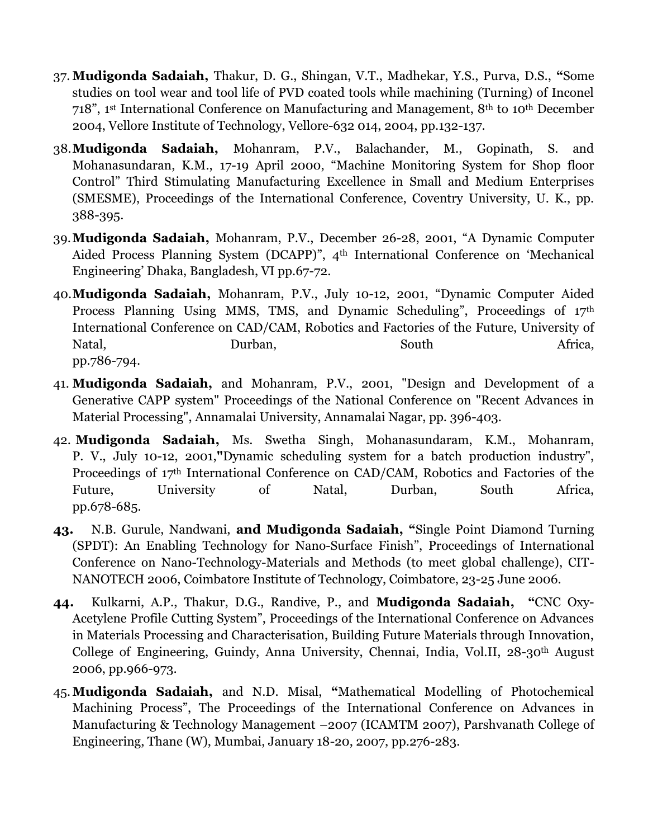- 37. **Mudigonda Sadaiah,** Thakur, D. G., Shingan, V.T., Madhekar, Y.S., Purva, D.S., **"**Some studies on tool wear and tool life of PVD coated tools while machining (Turning) of Inconel 718", 1st International Conference on Manufacturing and Management, 8th to 10th December 2004, Vellore Institute of Technology, Vellore-632 014, 2004, pp.132-137.
- 38.**Mudigonda Sadaiah,** Mohanram, P.V., Balachander, M., Gopinath, S. and Mohanasundaran, K.M., 17-19 April 2000, "Machine Monitoring System for Shop floor Control" Third Stimulating Manufacturing Excellence in Small and Medium Enterprises (SMESME), Proceedings of the International Conference, Coventry University, U. K., pp. 388-395.
- 39.**Mudigonda Sadaiah,** Mohanram, P.V., December 26-28, 2001, "A Dynamic Computer Aided Process Planning System (DCAPP)", 4th International Conference on "Mechanical Engineering" Dhaka, Bangladesh, VI pp.67-72.
- 40.**Mudigonda Sadaiah,** Mohanram, P.V., July 10-12, 2001, "Dynamic Computer Aided Process Planning Using MMS, TMS, and Dynamic Scheduling", Proceedings of 17th International Conference on CAD/CAM, Robotics and Factories of the Future, University of Natal, Burban, South Africa, pp.786-794.
- 41. **Mudigonda Sadaiah,** and Mohanram, P.V., 2001, "Design and Development of a Generative CAPP system" Proceedings of the National Conference on "Recent Advances in Material Processing", Annamalai University, Annamalai Nagar, pp. 396-403.
- 42. **Mudigonda Sadaiah,** Ms. Swetha Singh, Mohanasundaram, K.M., Mohanram, P. V., July 10-12, 2001,**"**Dynamic scheduling system for a batch production industry", Proceedings of 17th International Conference on CAD/CAM, Robotics and Factories of the Future, University of Natal, Durban, South Africa, pp.678-685.
- **43.** N.B. Gurule, Nandwani, **and Mudigonda Sadaiah, "**Single Point Diamond Turning (SPDT): An Enabling Technology for Nano-Surface Finish", Proceedings of International Conference on Nano-Technology-Materials and Methods (to meet global challenge), CIT-NANOTECH 2006, Coimbatore Institute of Technology, Coimbatore, 23-25 June 2006.
- **44.** Kulkarni, A.P., Thakur, D.G., Randive, P., and **Mudigonda Sadaiah, "**CNC Oxy-Acetylene Profile Cutting System", Proceedings of the International Conference on Advances in Materials Processing and Characterisation, Building Future Materials through Innovation, College of Engineering, Guindy, Anna University, Chennai, India, Vol.II, 28-30th August 2006, pp.966-973.
- 45.**Mudigonda Sadaiah,** and N.D. Misal, **"**Mathematical Modelling of Photochemical Machining Process", The Proceedings of the International Conference on Advances in Manufacturing & Technology Management –2007 (ICAMTM 2007), Parshvanath College of Engineering, Thane (W), Mumbai, January 18-20, 2007, pp.276-283.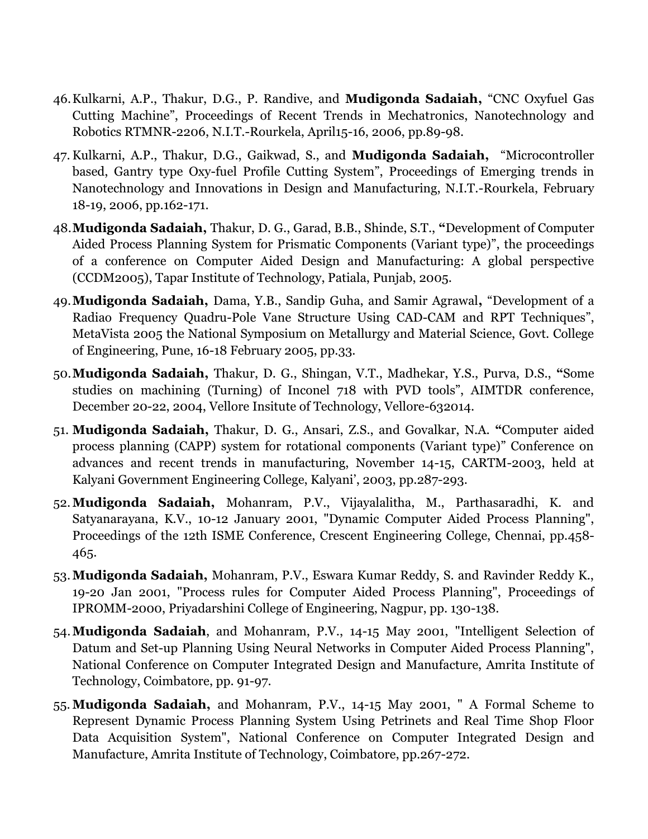- 46.Kulkarni, A.P., Thakur, D.G., P. Randive, and **Mudigonda Sadaiah,** "CNC Oxyfuel Gas Cutting Machine", Proceedings of Recent Trends in Mechatronics, Nanotechnology and Robotics RTMNR-2206, N.I.T.-Rourkela, April15-16, 2006, pp.89-98.
- 47.Kulkarni, A.P., Thakur, D.G., Gaikwad, S., and **Mudigonda Sadaiah,** "Microcontroller based, Gantry type Oxy-fuel Profile Cutting System", Proceedings of Emerging trends in Nanotechnology and Innovations in Design and Manufacturing, N.I.T.-Rourkela, February 18-19, 2006, pp.162-171.
- 48.**Mudigonda Sadaiah,** Thakur, D. G., Garad, B.B., Shinde, S.T., **"**Development of Computer Aided Process Planning System for Prismatic Components (Variant type)", the proceedings of a conference on Computer Aided Design and Manufacturing: A global perspective (CCDM2005), Tapar Institute of Technology, Patiala, Punjab, 2005.
- 49.**Mudigonda Sadaiah,** Dama, Y.B., Sandip Guha, and Samir Agrawal**,** "Development of a Radiao Frequency Quadru-Pole Vane Structure Using CAD-CAM and RPT Techniques", MetaVista 2005 the National Symposium on Metallurgy and Material Science, Govt. College of Engineering, Pune, 16-18 February 2005, pp.33.
- 50.**Mudigonda Sadaiah,** Thakur, D. G., Shingan, V.T., Madhekar, Y.S., Purva, D.S., **"**Some studies on machining (Turning) of Inconel 718 with PVD tools", AIMTDR conference, December 20-22, 2004, Vellore Insitute of Technology, Vellore-632014.
- 51. **Mudigonda Sadaiah,** Thakur, D. G., Ansari, Z.S., and Govalkar, N.A. **"**Computer aided process planning (CAPP) system for rotational components (Variant type)" Conference on advances and recent trends in manufacturing, November 14-15, CARTM-2003, held at Kalyani Government Engineering College, Kalyani", 2003, pp.287-293.
- 52.**Mudigonda Sadaiah,** Mohanram, P.V., Vijayalalitha, M., Parthasaradhi, K. and Satyanarayana, K.V., 10-12 January 2001, "Dynamic Computer Aided Process Planning", Proceedings of the 12th ISME Conference, Crescent Engineering College, Chennai, pp.458- 465.
- 53.**Mudigonda Sadaiah,** Mohanram, P.V., Eswara Kumar Reddy, S. and Ravinder Reddy K., 19-20 Jan 2001, "Process rules for Computer Aided Process Planning", Proceedings of IPROMM-2000, Priyadarshini College of Engineering, Nagpur, pp. 130-138.
- 54.**Mudigonda Sadaiah**, and Mohanram, P.V., 14-15 May 2001, "Intelligent Selection of Datum and Set-up Planning Using Neural Networks in Computer Aided Process Planning", National Conference on Computer Integrated Design and Manufacture, Amrita Institute of Technology, Coimbatore, pp. 91-97.
- 55. **Mudigonda Sadaiah,** and Mohanram, P.V., 14-15 May 2001, " A Formal Scheme to Represent Dynamic Process Planning System Using Petrinets and Real Time Shop Floor Data Acquisition System", National Conference on Computer Integrated Design and Manufacture, Amrita Institute of Technology, Coimbatore, pp.267-272.